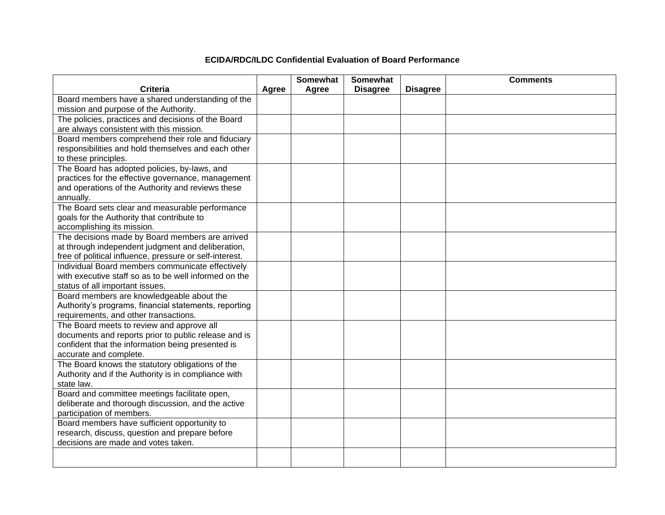## **ECIDA/RDC/ILDC Confidential Evaluation of Board Performance**

|                                                         |       | <b>Somewhat</b> | <b>Somewhat</b> |                 | <b>Comments</b> |
|---------------------------------------------------------|-------|-----------------|-----------------|-----------------|-----------------|
| <b>Criteria</b>                                         | Agree | Agree           | <b>Disagree</b> | <b>Disagree</b> |                 |
| Board members have a shared understanding of the        |       |                 |                 |                 |                 |
| mission and purpose of the Authority.                   |       |                 |                 |                 |                 |
| The policies, practices and decisions of the Board      |       |                 |                 |                 |                 |
| are always consistent with this mission.                |       |                 |                 |                 |                 |
| Board members comprehend their role and fiduciary       |       |                 |                 |                 |                 |
| responsibilities and hold themselves and each other     |       |                 |                 |                 |                 |
| to these principles.                                    |       |                 |                 |                 |                 |
| The Board has adopted policies, by-laws, and            |       |                 |                 |                 |                 |
| practices for the effective governance, management      |       |                 |                 |                 |                 |
| and operations of the Authority and reviews these       |       |                 |                 |                 |                 |
| annually.                                               |       |                 |                 |                 |                 |
| The Board sets clear and measurable performance         |       |                 |                 |                 |                 |
| goals for the Authority that contribute to              |       |                 |                 |                 |                 |
| accomplishing its mission.                              |       |                 |                 |                 |                 |
| The decisions made by Board members are arrived         |       |                 |                 |                 |                 |
| at through independent judgment and deliberation,       |       |                 |                 |                 |                 |
| free of political influence, pressure or self-interest. |       |                 |                 |                 |                 |
| Individual Board members communicate effectively        |       |                 |                 |                 |                 |
| with executive staff so as to be well informed on the   |       |                 |                 |                 |                 |
| status of all important issues.                         |       |                 |                 |                 |                 |
| Board members are knowledgeable about the               |       |                 |                 |                 |                 |
| Authority's programs, financial statements, reporting   |       |                 |                 |                 |                 |
| requirements, and other transactions.                   |       |                 |                 |                 |                 |
| The Board meets to review and approve all               |       |                 |                 |                 |                 |
| documents and reports prior to public release and is    |       |                 |                 |                 |                 |
| confident that the information being presented is       |       |                 |                 |                 |                 |
| accurate and complete.                                  |       |                 |                 |                 |                 |
| The Board knows the statutory obligations of the        |       |                 |                 |                 |                 |
| Authority and if the Authority is in compliance with    |       |                 |                 |                 |                 |
| state law.                                              |       |                 |                 |                 |                 |
| Board and committee meetings facilitate open,           |       |                 |                 |                 |                 |
| deliberate and thorough discussion, and the active      |       |                 |                 |                 |                 |
| participation of members.                               |       |                 |                 |                 |                 |
| Board members have sufficient opportunity to            |       |                 |                 |                 |                 |
| research, discuss, question and prepare before          |       |                 |                 |                 |                 |
| decisions are made and votes taken.                     |       |                 |                 |                 |                 |
|                                                         |       |                 |                 |                 |                 |
|                                                         |       |                 |                 |                 |                 |